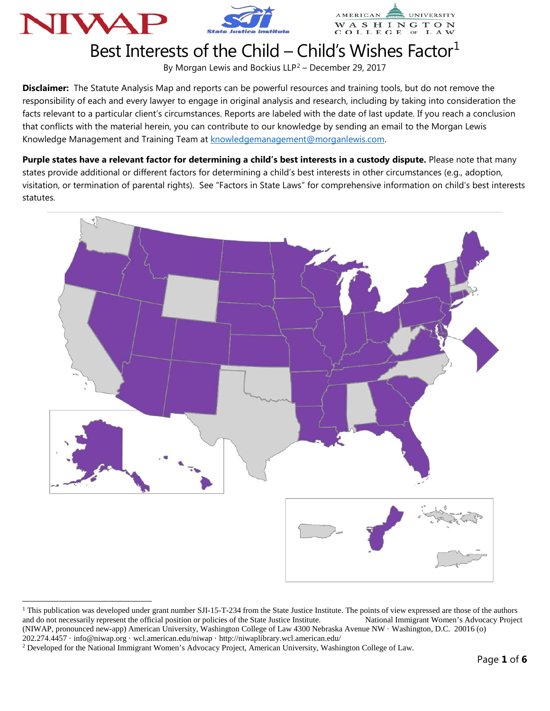





## Best Interests of the Child – Child's Wishes Factor<sup>1</sup>

By Morgan Lewis and Bockius  $LLP^2$  $LLP^2$  – December 29, 2017

**Disclaimer:** The Statute Analysis Map and reports can be powerful resources and training tools, but do not remove the responsibility of each and every lawyer to engage in original analysis and research, including by taking into consideration the facts relevant to a particular client's circumstances. Reports are labeled with the date of last update. If you reach a conclusion that conflicts with the material herein, you can contribute to our knowledge by sending an email to the Morgan Lewis Knowledge Management and Training Team at [knowledgemanagement@morganlewis.com.](mailto:knowledgemanagement@morganlewis.com)

**Purple states have a relevant factor for determining a child's best interests in a custody dispute.** Please note that many states provide additional or different factors for determining a child's best interests in other circumstances (e.g., adoption, visitation, or termination of parental rights). See "Factors in State Laws" for comprehensive information on child's best interests statutes.



<span id="page-0-0"></span><sup>&</sup>lt;sup>1</sup> This publication was developed under grant number SJI-15-T-234 from the State Justice Institute. The points of view expressed are those of the authors and do not necessarily represent the official position or policies of the State Justice Institute. National Immigrant Women's Advocacy Project (NIWAP, pronounced new-app) American University, Washington College of Law 4300 Nebraska Avenue NW · Washington, D.C. 20016 (o)

202.274.4457 · info@niwap.org · wcl.american.edu/niwap · http://niwaplibrary.wcl.american.edu/

-

<span id="page-0-1"></span><sup>2</sup> Developed for the National Immigrant Women's Advocacy Project, American University, Washington College of Law.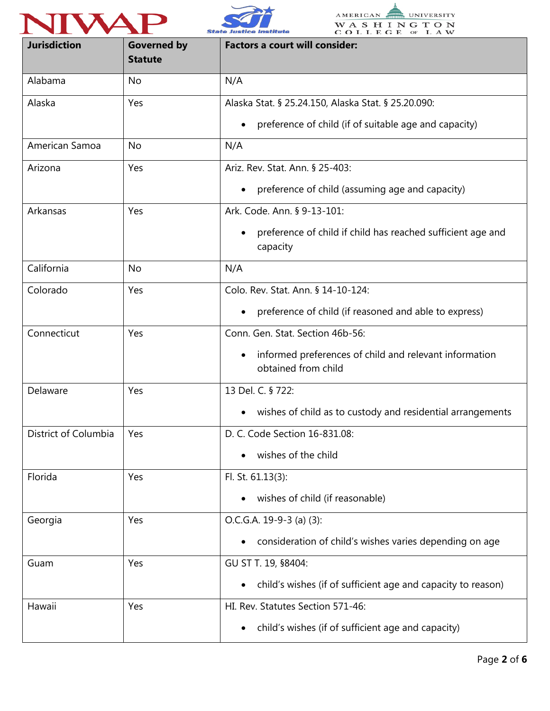





| <b>Jurisdiction</b>  | <b>Governed by</b><br><b>Statute</b> | <b>Factors a court will consider:</b>                                         |
|----------------------|--------------------------------------|-------------------------------------------------------------------------------|
| Alabama              | No                                   | N/A                                                                           |
| Alaska               | Yes                                  | Alaska Stat. § 25.24.150, Alaska Stat. § 25.20.090:                           |
|                      |                                      | preference of child (if of suitable age and capacity)                         |
| American Samoa       | <b>No</b>                            | N/A                                                                           |
| Arizona              | Yes                                  | Ariz. Rev. Stat. Ann. § 25-403:                                               |
|                      |                                      | preference of child (assuming age and capacity)<br>$\bullet$                  |
| Arkansas             | Yes                                  | Ark. Code. Ann. § 9-13-101:                                                   |
|                      |                                      | preference of child if child has reached sufficient age and<br>capacity       |
| California           | No                                   | N/A                                                                           |
| Colorado             | Yes                                  | Colo. Rev. Stat. Ann. § 14-10-124:                                            |
|                      |                                      | preference of child (if reasoned and able to express)                         |
| Connecticut          | Yes                                  | Conn. Gen. Stat. Section 46b-56:                                              |
|                      |                                      | informed preferences of child and relevant information<br>obtained from child |
| Delaware             | Yes                                  | 13 Del. C. § 722:                                                             |
|                      |                                      | wishes of child as to custody and residential arrangements                    |
| District of Columbia | Yes                                  | D. C. Code Section 16-831.08:                                                 |
|                      |                                      | wishes of the child                                                           |
| Florida              | Yes                                  | Fl. St. 61.13(3):                                                             |
|                      |                                      | wishes of child (if reasonable)                                               |
| Georgia              | Yes                                  | $O.C.G.A. 19-9-3 (a) (3):$                                                    |
|                      |                                      | consideration of child's wishes varies depending on age                       |
| Guam                 | Yes                                  | GU ST T. 19, §8404:                                                           |
|                      |                                      | child's wishes (if of sufficient age and capacity to reason)<br>$\bullet$     |
| Hawaii               | Yes                                  | HI. Rev. Statutes Section 571-46:                                             |
|                      |                                      | child's wishes (if of sufficient age and capacity)<br>$\bullet$               |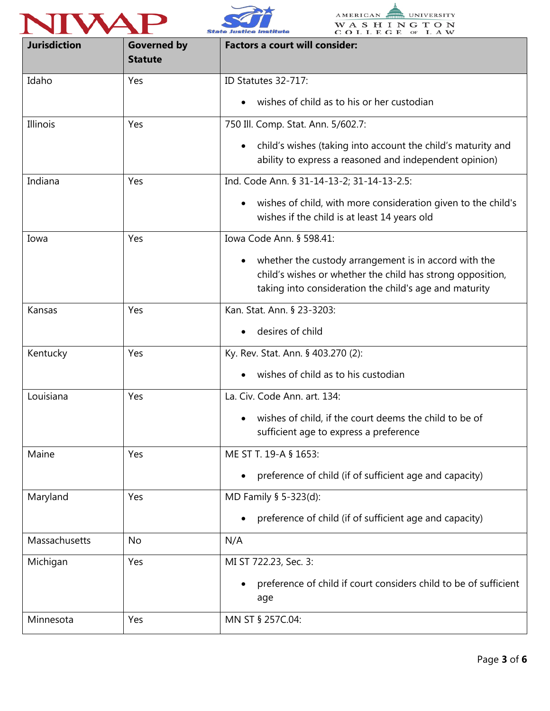





| <b>Jurisdiction</b> | <b>Governed by</b><br><b>Statute</b> | <b>Factors a court will consider:</b>                                                                                                                                                      |
|---------------------|--------------------------------------|--------------------------------------------------------------------------------------------------------------------------------------------------------------------------------------------|
| Idaho               | Yes                                  | ID Statutes 32-717:                                                                                                                                                                        |
|                     |                                      | wishes of child as to his or her custodian<br>$\bullet$                                                                                                                                    |
| Illinois            | Yes                                  | 750 Ill. Comp. Stat. Ann. 5/602.7:                                                                                                                                                         |
|                     |                                      | child's wishes (taking into account the child's maturity and<br>$\bullet$<br>ability to express a reasoned and independent opinion)                                                        |
| Indiana             | Yes                                  | Ind. Code Ann. § 31-14-13-2; 31-14-13-2.5:                                                                                                                                                 |
|                     |                                      | wishes of child, with more consideration given to the child's<br>$\bullet$<br>wishes if the child is at least 14 years old                                                                 |
| Iowa                | Yes                                  | Iowa Code Ann. § 598.41:                                                                                                                                                                   |
|                     |                                      | whether the custody arrangement is in accord with the<br>$\bullet$<br>child's wishes or whether the child has strong opposition,<br>taking into consideration the child's age and maturity |
| Kansas              | Yes                                  | Kan. Stat. Ann. § 23-3203:                                                                                                                                                                 |
|                     |                                      | desires of child                                                                                                                                                                           |
| Kentucky            | Yes                                  | Ky. Rev. Stat. Ann. § 403.270 (2):                                                                                                                                                         |
|                     |                                      | wishes of child as to his custodian                                                                                                                                                        |
| Louisiana           | Yes                                  | La. Civ. Code Ann. art. 134:                                                                                                                                                               |
|                     |                                      | wishes of child, if the court deems the child to be of<br>sufficient age to express a preference                                                                                           |
| Maine               | Yes                                  | ME ST T. 19-A § 1653:                                                                                                                                                                      |
|                     |                                      | preference of child (if of sufficient age and capacity)<br>$\bullet$                                                                                                                       |
| Maryland            | Yes                                  | MD Family § 5-323(d):                                                                                                                                                                      |
|                     |                                      | preference of child (if of sufficient age and capacity)                                                                                                                                    |
| Massachusetts       | No                                   | N/A                                                                                                                                                                                        |
| Michigan            | Yes                                  | MI ST 722.23, Sec. 3:                                                                                                                                                                      |
|                     |                                      | preference of child if court considers child to be of sufficient<br>age                                                                                                                    |
| Minnesota           | Yes                                  | MN ST § 257C.04:                                                                                                                                                                           |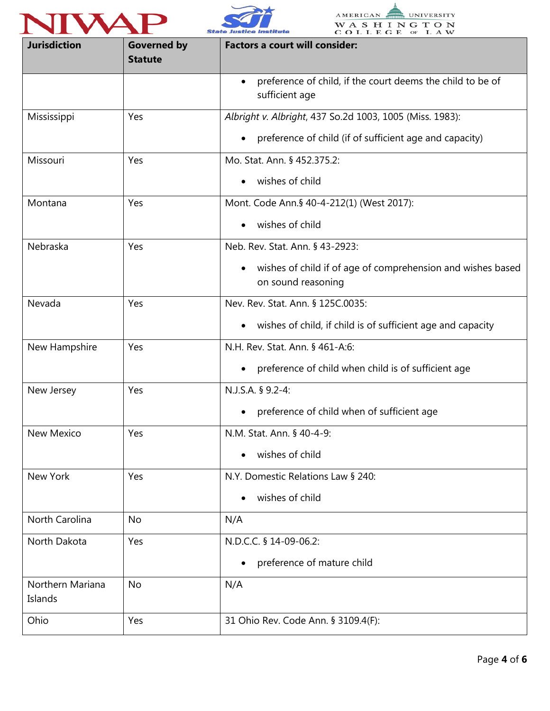





| <b>Jurisdiction</b>         | <b>Governed by</b><br><b>Statute</b> | <b>Factors a court will consider:</b>                                             |
|-----------------------------|--------------------------------------|-----------------------------------------------------------------------------------|
|                             |                                      | preference of child, if the court deems the child to be of<br>sufficient age      |
| Mississippi                 | Yes                                  | Albright v. Albright, 437 So.2d 1003, 1005 (Miss. 1983):                          |
|                             |                                      | preference of child (if of sufficient age and capacity)                           |
| Missouri                    | Yes                                  | Mo. Stat. Ann. § 452.375.2:                                                       |
|                             |                                      | wishes of child                                                                   |
| Montana                     | Yes                                  | Mont. Code Ann.§ 40-4-212(1) (West 2017):                                         |
|                             |                                      | wishes of child                                                                   |
| Nebraska                    | Yes                                  | Neb. Rev. Stat. Ann. § 43-2923:                                                   |
|                             |                                      | wishes of child if of age of comprehension and wishes based<br>on sound reasoning |
| Nevada                      | Yes                                  | Nev. Rev. Stat. Ann. § 125C.0035:                                                 |
|                             |                                      | wishes of child, if child is of sufficient age and capacity<br>$\bullet$          |
| New Hampshire               | Yes                                  | N.H. Rev. Stat. Ann. § 461-A:6:                                                   |
|                             |                                      | preference of child when child is of sufficient age                               |
| New Jersey                  | Yes                                  | N.J.S.A. § 9.2-4:                                                                 |
|                             |                                      | preference of child when of sufficient age                                        |
| New Mexico                  | Yes                                  | N.M. Stat. Ann. § 40-4-9:                                                         |
|                             |                                      | wishes of child                                                                   |
| New York                    | Yes                                  | N.Y. Domestic Relations Law § 240:                                                |
|                             |                                      | wishes of child                                                                   |
| North Carolina              | <b>No</b>                            | N/A                                                                               |
| North Dakota                | Yes                                  | N.D.C.C. § 14-09-06.2:                                                            |
|                             |                                      | preference of mature child                                                        |
| Northern Mariana<br>Islands | <b>No</b>                            | N/A                                                                               |
| Ohio                        | Yes                                  | 31 Ohio Rev. Code Ann. § 3109.4(F):                                               |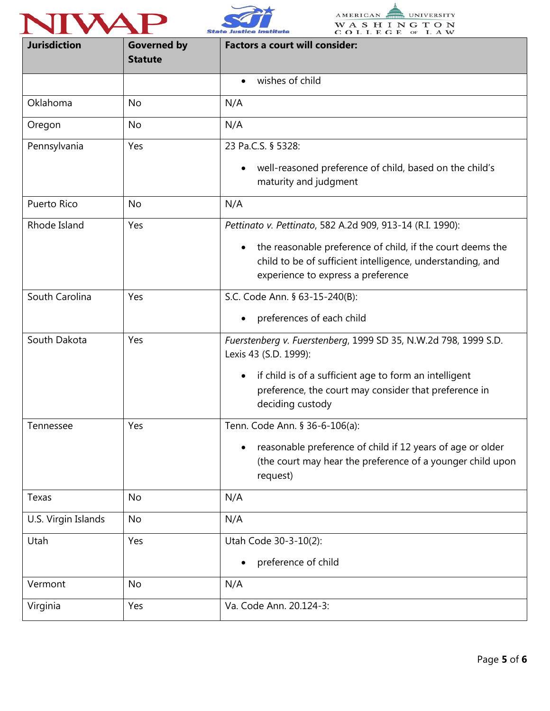





| <b>Jurisdiction</b> | <b>Governed by</b><br><b>Statute</b> | <b>Factors a court will consider:</b>                                                                                                                          |
|---------------------|--------------------------------------|----------------------------------------------------------------------------------------------------------------------------------------------------------------|
|                     |                                      | wishes of child<br>$\bullet$                                                                                                                                   |
| Oklahoma            | No                                   | N/A                                                                                                                                                            |
| Oregon              | No                                   | N/A                                                                                                                                                            |
| Pennsylvania        | Yes                                  | 23 Pa.C.S. § 5328:                                                                                                                                             |
|                     |                                      | well-reasoned preference of child, based on the child's<br>$\bullet$<br>maturity and judgment                                                                  |
| Puerto Rico         | <b>No</b>                            | N/A                                                                                                                                                            |
| Rhode Island        | Yes                                  | Pettinato v. Pettinato, 582 A.2d 909, 913-14 (R.I. 1990):                                                                                                      |
|                     |                                      | the reasonable preference of child, if the court deems the<br>child to be of sufficient intelligence, understanding, and<br>experience to express a preference |
| South Carolina      | Yes                                  | S.C. Code Ann. § 63-15-240(B):                                                                                                                                 |
|                     |                                      | preferences of each child                                                                                                                                      |
| South Dakota        | Yes                                  | Fuerstenberg v. Fuerstenberg, 1999 SD 35, N.W.2d 798, 1999 S.D.<br>Lexis 43 (S.D. 1999):                                                                       |
|                     |                                      | if child is of a sufficient age to form an intelligent<br>$\bullet$<br>preference, the court may consider that preference in<br>deciding custody               |
| Tennessee           | Yes                                  | Tenn. Code Ann. § 36-6-106(a):                                                                                                                                 |
|                     |                                      | reasonable preference of child if 12 years of age or older<br>(the court may hear the preference of a younger child upon<br>request)                           |
| Texas               | No                                   | N/A                                                                                                                                                            |
| U.S. Virgin Islands | <b>No</b>                            | N/A                                                                                                                                                            |
| Utah                | Yes                                  | Utah Code 30-3-10(2):                                                                                                                                          |
|                     |                                      | preference of child                                                                                                                                            |
| Vermont             | No                                   | N/A                                                                                                                                                            |
| Virginia            | Yes                                  | Va. Code Ann. 20.124-3:                                                                                                                                        |